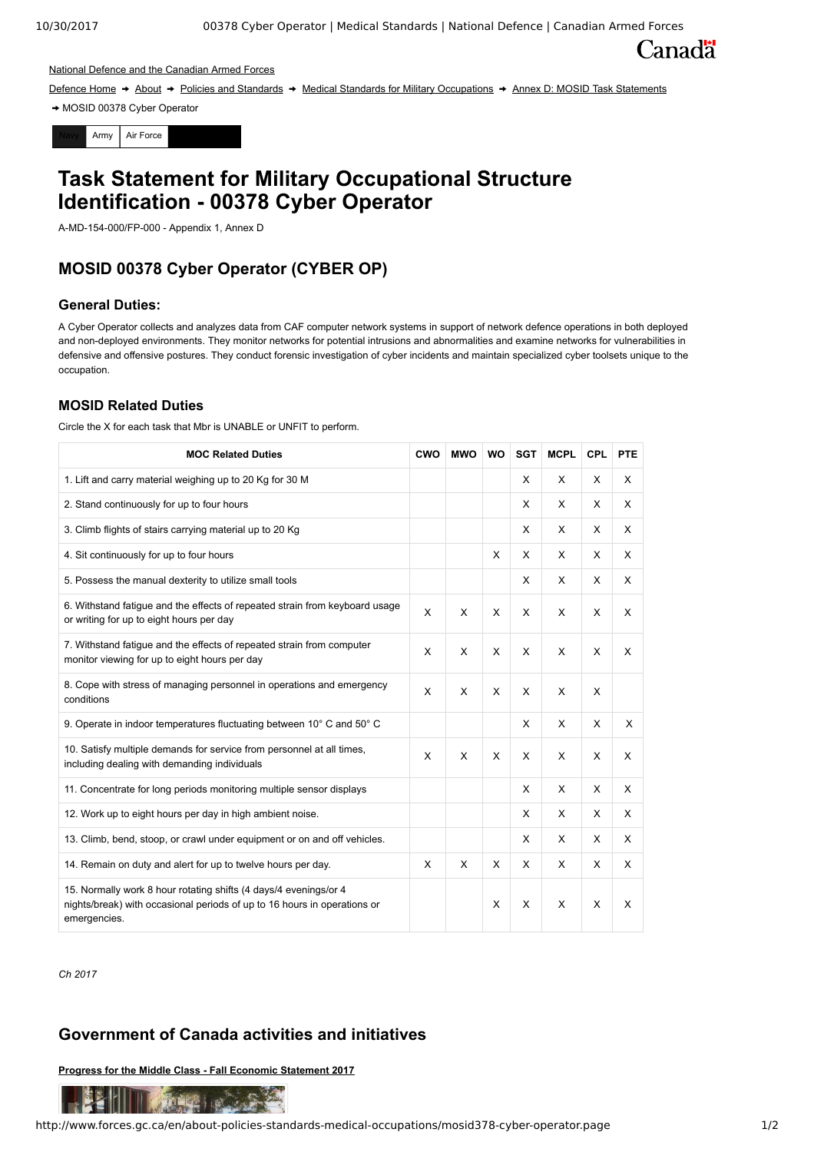**Canadä** 

#### [National Defence and the Canadian Armed Forces](http://www.forces.gc.ca/en/index.page)

[Defence Home](http://www.forces.gc.ca/en/index.page) → [About](http://www.forces.gc.ca/en/about-us.page) → [Policies and Standards](http://www.forces.gc.ca/en/about-policies-standards/index.page) → [Medical Standards for Military Occupations](http://www.forces.gc.ca/en/about-policies-standards-medical-occupations/index.page) → [Annex D: MOSID Task Statements](http://www.forces.gc.ca/en/about-policies-standards-medical-occupations/cf-member-task-statements.page)

MOSID 00378 Cyber Operator



# **Task Statement for Military Occupational Structure Identification - 00378 Cyber Operator**

A-MD-154-000/FP-000 - Appendix 1, Annex D

# **MOSID 00378 Cyber Operator (CYBER OP)**

## **General Duties:**

A Cyber Operator collects and analyzes data from CAF computer network systems in support of network defence operations in both deployed and non-deployed environments. They monitor networks for potential intrusions and abnormalities and examine networks for vulnerabilities in defensive and offensive postures. They conduct forensic investigation of cyber incidents and maintain specialized cyber toolsets unique to the occupation.

## **MOSID Related Duties**

Circle the X for each task that Mbr is UNABLE or UNFIT to perform.

| <b>MOC Related Duties</b>                                                                                                                                    | CWO | <b>MWO</b> | <b>WO</b> | <b>SGT</b> | <b>MCPL</b> | <b>CPL</b>   | <b>PTE</b> |
|--------------------------------------------------------------------------------------------------------------------------------------------------------------|-----|------------|-----------|------------|-------------|--------------|------------|
| 1. Lift and carry material weighing up to 20 Kg for 30 M                                                                                                     |     |            |           | X          | X           | $\mathsf{x}$ | X          |
| 2. Stand continuously for up to four hours                                                                                                                   |     |            |           | X          | X           | $\mathsf{x}$ | X          |
| 3. Climb flights of stairs carrying material up to 20 Kg                                                                                                     |     |            |           | X          | X           | X            | X          |
| 4. Sit continuously for up to four hours                                                                                                                     |     |            | X         | X          | X           | X            | X          |
| 5. Possess the manual dexterity to utilize small tools                                                                                                       |     |            |           | X          | X           | X            | X          |
| 6. Withstand fatigue and the effects of repeated strain from keyboard usage<br>or writing for up to eight hours per day                                      | X   | X          | X         | X          | X           | $\times$     | X          |
| 7. Withstand fatigue and the effects of repeated strain from computer<br>monitor viewing for up to eight hours per day                                       | X   | X          | X         | X          | X           | $\times$     | X          |
| 8. Cope with stress of managing personnel in operations and emergency<br>conditions                                                                          | X   | X          | X         | X          | X           | X            |            |
| 9. Operate in indoor temperatures fluctuating between 10° C and 50° C                                                                                        |     |            |           | X          | X           | $\times$     | X          |
| 10. Satisfy multiple demands for service from personnel at all times,<br>including dealing with demanding individuals                                        | X   | X          | X         | X          | X           | X            | X          |
| 11. Concentrate for long periods monitoring multiple sensor displays                                                                                         |     |            |           | X          | X           | X            | X          |
| 12. Work up to eight hours per day in high ambient noise.                                                                                                    |     |            |           | X          | X           | $\times$     | X          |
| 13. Climb, bend, stoop, or crawl under equipment or on and off vehicles.                                                                                     |     |            |           | X          | X           | X            | X          |
| 14. Remain on duty and alert for up to twelve hours per day.                                                                                                 | X   | X          | X         | X          | X           | X            | X          |
| 15. Normally work 8 hour rotating shifts (4 days/4 evenings/or 4<br>nights/break) with occasional periods of up to 16 hours in operations or<br>emergencies. |     |            | X         | X          | X           | $\times$     | X          |

*Ch 2017*

# **Government of Canada activities and initiatives**

**[Progress for the Middle Class - Fall Economic Statement 2017](http://www.budget.gc.ca/fes-eea/2017/home-accueil-en.html?&utm_campaign=FES-EEA17)**